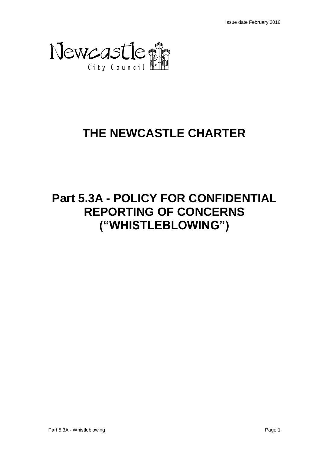

# **THE NEWCASTLE CHARTER**

# **Part 5.3A - POLICY FOR CONFIDENTIAL REPORTING OF CONCERNS ("WHISTLEBLOWING")**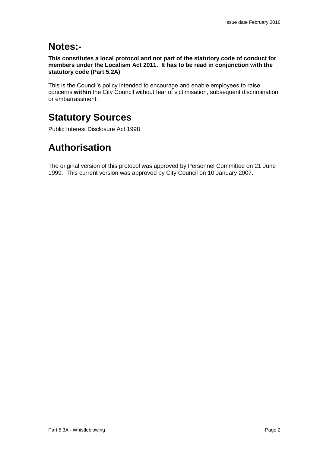## **Notes:-**

**This constitutes a local protocol and not part of the statutory code of conduct for members under the Localism Act 2011. It has to be read in conjunction with the statutory code (Part 5.2A)**

This is the Council's policy intended to encourage and enable employees to raise concerns **within** the City Council without fear of victimisation, subsequent discrimination or embarrassment.

## **Statutory Sources**

Public Interest Disclosure Act 1998

## **Authorisation**

The original version of this protocol was approved by Personnel Committee on 21 June 1999. This current version was approved by City Council on 10 January 2007.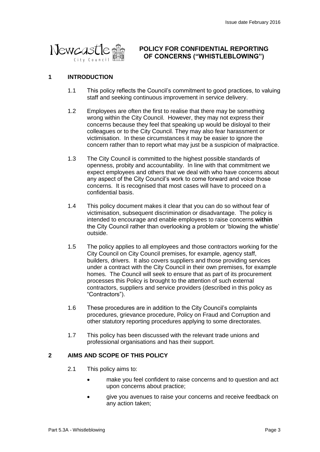

## **POLICY FOR CONFIDENTIAL REPORTING OF CONCERNS ("WHISTLEBLOWING")**

### **1 INTRODUCTION**

- 1.1 This policy reflects the Council's commitment to good practices, to valuing staff and seeking continuous improvement in service delivery.
- 1.2 Employees are often the first to realise that there may be something wrong within the City Council. However, they may not express their concerns because they feel that speaking up would be disloyal to their colleagues or to the City Council. They may also fear harassment or victimisation. In these circumstances it may be easier to ignore the concern rather than to report what may just be a suspicion of malpractice.
- 1.3 The City Council is committed to the highest possible standards of openness, probity and accountability. In line with that commitment we expect employees and others that we deal with who have concerns about any aspect of the City Council's work to come forward and voice those concerns. It is recognised that most cases will have to proceed on a confidential basis.
- 1.4 This policy document makes it clear that you can do so without fear of victimisation, subsequent discrimination or disadvantage. The policy is intended to encourage and enable employees to raise concerns **within** the City Council rather than overlooking a problem or 'blowing the whistle' outside.
- 1.5 The policy applies to all employees and those contractors working for the City Council on City Council premises, for example, agency staff, builders, drivers. It also covers suppliers and those providing services under a contract with the City Council in their own premises, for example homes. The Council will seek to ensure that as part of its procurement processes this Policy is brought to the attention of such external contractors, suppliers and service providers (described in this policy as "Contractors").
- 1.6 These procedures are in addition to the City Council's complaints procedures, grievance procedure, Policy on Fraud and Corruption and other statutory reporting procedures applying to some directorates.
- 1.7 This policy has been discussed with the relevant trade unions and professional organisations and has their support.

#### **2 AIMS AND SCOPE OF THIS POLICY**

- 2.1 This policy aims to:
	- make you feel confident to raise concerns and to question and act upon concerns about practice;
	- give you avenues to raise your concerns and receive feedback on any action taken;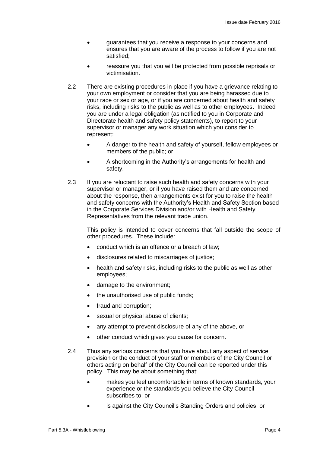- guarantees that you receive a response to your concerns and ensures that you are aware of the process to follow if you are not satisfied;
- reassure you that you will be protected from possible reprisals or victimisation.
- 2.2 There are existing procedures in place if you have a grievance relating to your own employment or consider that you are being harassed due to your race or sex or age, or if you are concerned about health and safety risks, including risks to the public as well as to other employees. Indeed you are under a legal obligation (as notified to you in Corporate and Directorate health and safety policy statements), to report to your supervisor or manager any work situation which you consider to represent:
	- A danger to the health and safety of yourself, fellow employees or members of the public; or
	- A shortcoming in the Authority's arrangements for health and safety.
- 2.3 If you are reluctant to raise such health and safety concerns with your supervisor or manager, or if you have raised them and are concerned about the response, then arrangements exist for you to raise the health and safety concerns with the Authority's Health and Safety Section based in the Corporate Services Division and/or with Health and Safety Representatives from the relevant trade union.

This policy is intended to cover concerns that fall outside the scope of other procedures. These include:

- conduct which is an offence or a breach of law;
- disclosures related to miscarriages of justice;
- health and safety risks, including risks to the public as well as other employees;
- damage to the environment;
- the unauthorised use of public funds;
- fraud and corruption;
- sexual or physical abuse of clients;
- any attempt to prevent disclosure of any of the above, or
- other conduct which gives you cause for concern.
- 2.4 Thus any serious concerns that you have about any aspect of service provision or the conduct of your staff or members of the City Council or others acting on behalf of the City Council can be reported under this policy. This may be about something that:
	- makes you feel uncomfortable in terms of known standards, your experience or the standards you believe the City Council subscribes to; or
	- is against the City Council's Standing Orders and policies; or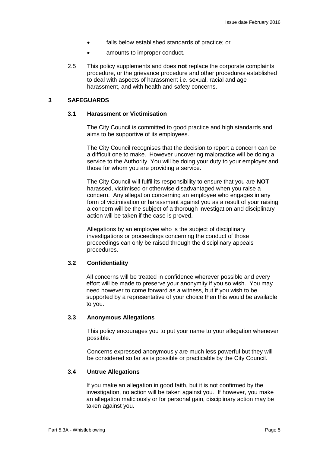- falls below established standards of practice; or
- amounts to improper conduct.
- 2.5 This policy supplements and does **not** replace the corporate complaints procedure, or the grievance procedure and other procedures established to deal with aspects of harassment i.e. sexual, racial and age harassment, and with health and safety concerns.

#### **3 SAFEGUARDS**

#### **3.1 Harassment or Victimisation**

The City Council is committed to good practice and high standards and aims to be supportive of its employees.

The City Council recognises that the decision to report a concern can be a difficult one to make. However uncovering malpractice will be doing a service to the Authority. You will be doing your duty to your employer and those for whom you are providing a service.

The City Council will fulfil its responsibility to ensure that you are **NOT**  harassed, victimised or otherwise disadvantaged when you raise a concern. Any allegation concerning an employee who engages in any form of victimisation or harassment against you as a result of your raising a concern will be the subject of a thorough investigation and disciplinary action will be taken if the case is proved.

Allegations by an employee who is the subject of disciplinary investigations or proceedings concerning the conduct of those proceedings can only be raised through the disciplinary appeals procedures.

#### **3.2 Confidentiality**

All concerns will be treated in confidence wherever possible and every effort will be made to preserve your anonymity if you so wish. You may need however to come forward as a witness, but if you wish to be supported by a representative of your choice then this would be available to you.

#### **3.3 Anonymous Allegations**

This policy encourages you to put your name to your allegation whenever possible.

Concerns expressed anonymously are much less powerful but they will be considered so far as is possible or practicable by the City Council.

#### **3.4 Untrue Allegations**

If you make an allegation in good faith, but it is not confirmed by the investigation, no action will be taken against you. If however, you make an allegation maliciously or for personal gain, disciplinary action may be taken against you.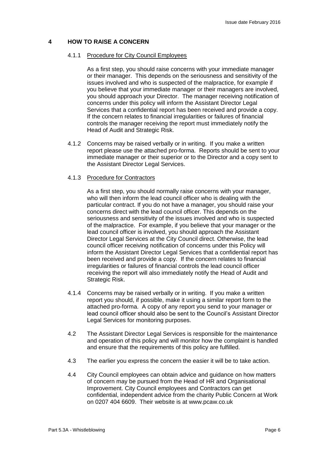#### **4 HOW TO RAISE A CONCERN**

#### 4.1.1 Procedure for City Council Employees

As a first step, you should raise concerns with your immediate manager or their manager. This depends on the seriousness and sensitivity of the issues involved and who is suspected of the malpractice, for example if you believe that your immediate manager or their managers are involved, you should approach your Director. The manager receiving notification of concerns under this policy will inform the Assistant Director Legal Services that a confidential report has been received and provide a copy. If the concern relates to financial irregularities or failures of financial controls the manager receiving the report must immediately notify the Head of Audit and Strategic Risk.

4.1.2 Concerns may be raised verbally or in writing. If you make a written report please use the attached pro-forma. Reports should be sent to your immediate manager or their superior or to the Director and a copy sent to the Assistant Director Legal Services.

#### 4.1.3 Procedure for Contractors

As a first step, you should normally raise concerns with your manager, who will then inform the lead council officer who is dealing with the particular contract. If you do not have a manager, you should raise your concerns direct with the lead council officer. This depends on the seriousness and sensitivity of the issues involved and who is suspected of the malpractice. For example, if you believe that your manager or the lead council officer is involved, you should approach the Assistant Director Legal Services at the City Council direct. Otherwise, the lead council officer receiving notification of concerns under this Policy will inform the Assistant Director Legal Services that a confidential report has been received and provide a copy. If the concern relates to financial irregularities or failures of financial controls the lead council officer receiving the report will also immediately notify the Head of Audit and Strategic Risk.

- 4.1.4 Concerns may be raised verbally or in writing. If you make a written report you should, if possible, make it using a similar report form to the attached pro-forma. A copy of any report you send to your manager or lead council officer should also be sent to the Council's Assistant Director Legal Services for monitoring purposes.
- 4.2 The Assistant Director Legal Services is responsible for the maintenance and operation of this policy and will monitor how the complaint is handled and ensure that the requirements of this policy are fulfilled.
- 4.3 The earlier you express the concern the easier it will be to take action.
- 4.4 City Council employees can obtain advice and guidance on how matters of concern may be pursued from the Head of HR and Organisational Improvement. City Council employees and Contractors can get confidential, independent advice from the charity Public Concern at Work on 0207 404 6609. Their website is at www.pcaw.co.uk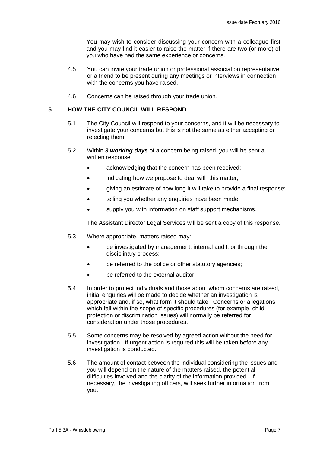You may wish to consider discussing your concern with a colleague first and you may find it easier to raise the matter if there are two (or more) of you who have had the same experience or concerns.

- 4.5 You can invite your trade union or professional association representative or a friend to be present during any meetings or interviews in connection with the concerns you have raised.
- 4.6 Concerns can be raised through your trade union.

#### **5 HOW THE CITY COUNCIL WILL RESPOND**

- 5.1 The City Council will respond to your concerns, and it will be necessary to investigate your concerns but this is not the same as either accepting or rejecting them.
- 5.2 Within *3 working days* of a concern being raised, you will be sent a written response:
	- acknowledging that the concern has been received;
	- indicating how we propose to deal with this matter;
	- giving an estimate of how long it will take to provide a final response;
	- telling you whether any enquiries have been made;
	- supply you with information on staff support mechanisms.

The Assistant Director Legal Services will be sent a copy of this response.

- 5.3 Where appropriate, matters raised may:
	- be investigated by management, internal audit, or through the disciplinary process;
	- be referred to the police or other statutory agencies;
	- be referred to the external auditor.
- 5.4 In order to protect individuals and those about whom concerns are raised, initial enquiries will be made to decide whether an investigation is appropriate and, if so, what form it should take. Concerns or allegations which fall within the scope of specific procedures (for example, child protection or discrimination issues) will normally be referred for consideration under those procedures.
- 5.5 Some concerns may be resolved by agreed action without the need for investigation. If urgent action is required this will be taken before any investigation is conducted.
- 5.6 The amount of contact between the individual considering the issues and you will depend on the nature of the matters raised, the potential difficulties involved and the clarity of the information provided. If necessary, the investigating officers, will seek further information from you.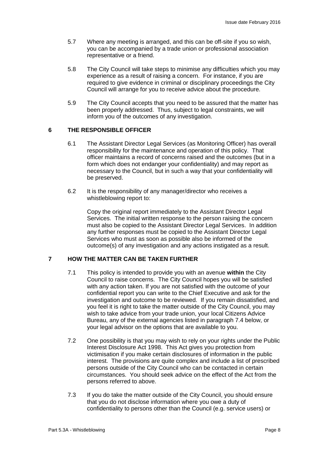- 5.7 Where any meeting is arranged, and this can be off-site if you so wish, you can be accompanied by a trade union or professional association representative or a friend.
- 5.8 The City Council will take steps to minimise any difficulties which you may experience as a result of raising a concern. For instance, if you are required to give evidence in criminal or disciplinary proceedings the City Council will arrange for you to receive advice about the procedure.
- 5.9 The City Council accepts that you need to be assured that the matter has been properly addressed. Thus, subject to legal constraints, we will inform you of the outcomes of any investigation.

#### **6 THE RESPONSIBLE OFFICER**

- 6.1 The Assistant Director Legal Services (as Monitoring Officer) has overall responsibility for the maintenance and operation of this policy. That officer maintains a record of concerns raised and the outcomes (but in a form which does not endanger your confidentiality) and may report as necessary to the Council, but in such a way that your confidentiality will be preserved.
- 6.2 It is the responsibility of any manager/director who receives a whistleblowing report to:

Copy the original report immediately to the Assistant Director Legal Services. The initial written response to the person raising the concern must also be copied to the Assistant Director Legal Services. In addition any further responses must be copied to the Assistant Director Legal Services who must as soon as possible also be informed of the outcome(s) of any investigation and any actions instigated as a result.

### **7 HOW THE MATTER CAN BE TAKEN FURTHER**

- 7.1 This policy is intended to provide you with an avenue **within** the City Council to raise concerns. The City Council hopes you will be satisfied with any action taken. If you are not satisfied with the outcome of your confidential report you can write to the Chief Executive and ask for the investigation and outcome to be reviewed. If you remain dissatisfied, and you feel it is right to take the matter outside of the City Council, you may wish to take advice from your trade union, your local Citizens Advice Bureau, any of the external agencies listed in paragraph 7.4 below, or your legal advisor on the options that are available to you.
- 7.2 One possibility is that you may wish to rely on your rights under the Public Interest Disclosure Act 1998. This Act gives you protection from victimisation if you make certain disclosures of information in the public interest. The provisions are quite complex and include a list of prescribed persons outside of the City Council who can be contacted in certain circumstances. You should seek advice on the effect of the Act from the persons referred to above.
- 7.3 If you do take the matter outside of the City Council, you should ensure that you do not disclose information where you owe a duty of confidentiality to persons other than the Council (e.g. service users) or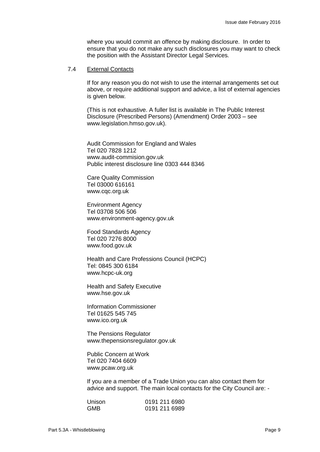where you would commit an offence by making disclosure. In order to ensure that you do not make any such disclosures you may want to check the position with the Assistant Director Legal Services*.*

#### 7.4 External Contacts

If for any reason you do not wish to use the internal arrangements set out above, or require additional support and advice, a list of external agencies is given below.

(This is not exhaustive. A fuller list is available in The Public Interest Disclosure (Prescribed Persons) (Amendment) Order 2003 – see www.legislation.hmso.gov.uk).

Audit Commission for England and Wales Tel 020 7828 1212 www.audit-commision.gov.uk Public interest disclosure line 0303 444 8346

Care Quality Commission Tel 03000 616161 www.cqc.org.uk

Environment Agency Tel 03708 506 506 www.environment-agency.gov.uk

Food Standards Agency Tel 020 7276 8000 www.food.gov.uk

Health and Care Professions Council (HCPC) Tel: 0845 300 6184 www.hcpc-uk.org

Health and Safety Executive www.hse.gov.uk

Information Commissioner Tel 01625 545 745 www.ico.org.uk

The Pensions Regulator www.thepensionsregulator.gov.uk

Public Concern at Work Tel 020 7404 6609 www.pcaw.org.uk

If you are a member of a Trade Union you can also contact them for advice and support. The main local contacts for the City Council are: -

| Unison     | 0191 211 6980 |  |
|------------|---------------|--|
| <b>GMB</b> | 0191 211 6989 |  |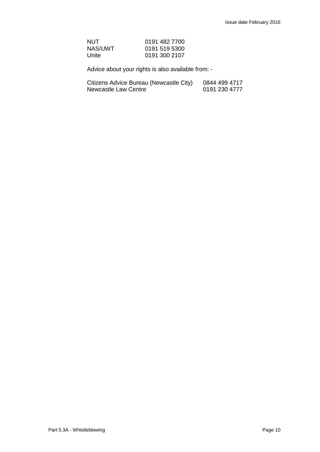| NUT     | 0191 482 7700 |
|---------|---------------|
| NAS/UWT | 0191 519 5300 |
| Unite   | 0191 300 2107 |

Advice about your rights is also available from: -

| Citizens Advice Bureau (Newcastle City) | 0844 499 4717 |
|-----------------------------------------|---------------|
| Newcastle Law Centre                    | 0191 230 4777 |